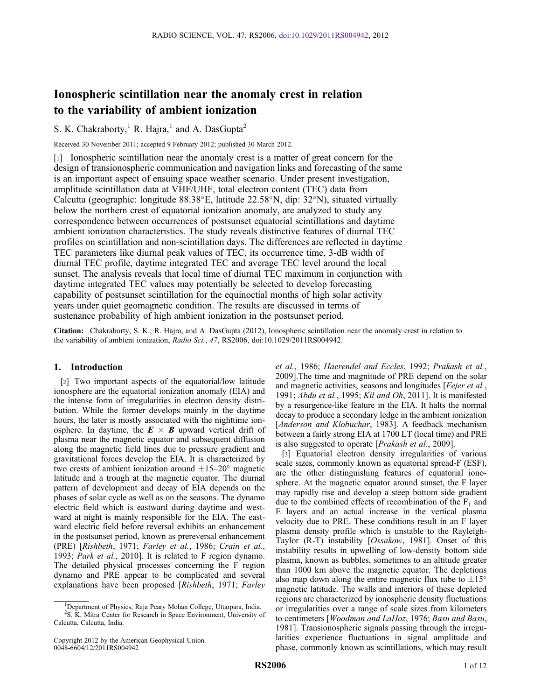# Ionospheric scintillation near the anomaly crest in relation to the variability of ambient ionization

S. K. Chakraborty,<sup>1</sup> R. Hajra,<sup>1</sup> and A. DasGupta<sup>2</sup>

Received 30 November 2011; accepted 9 February 2012; published 30 March 2012.

[1] Ionospheric scintillation near the anomaly crest is a matter of great concern for the design of transionospheric communication and navigation links and forecasting of the same is an important aspect of ensuing space weather scenario. Under present investigation, amplitude scintillation data at VHF/UHF, total electron content (TEC) data from Calcutta (geographic: longitude  $88.38^{\circ}$ E, latitude  $22.58^{\circ}$ N, dip:  $32^{\circ}$ N), situated virtually below the northern crest of equatorial ionization anomaly, are analyzed to study any correspondence between occurrences of postsunset equatorial scintillations and daytime ambient ionization characteristics. The study reveals distinctive features of diurnal TEC profiles on scintillation and non-scintillation days. The differences are reflected in daytime TEC parameters like diurnal peak values of TEC, its occurrence time, 3-dB width of diurnal TEC profile, daytime integrated TEC and average TEC level around the local sunset. The analysis reveals that local time of diurnal TEC maximum in conjunction with daytime integrated TEC values may potentially be selected to develop forecasting capability of postsunset scintillation for the equinoctial months of high solar activity years under quiet geomagnetic condition. The results are discussed in terms of sustenance probability of high ambient ionization in the postsunset period.

Citation: Chakraborty, S. K., R. Hajra, and A. DasGupta (2012), Ionospheric scintillation near the anomaly crest in relation to the variability of ambient ionization, Radio Sci., 47, RS2006, doi:10.1029/2011RS004942.

### 1. Introduction

[2] Two important aspects of the equatorial/low latitude ionosphere are the equatorial ionization anomaly (EIA) and the intense form of irregularities in electron density distribution. While the former develops mainly in the daytime hours, the later is mostly associated with the nighttime ionosphere. In daytime, the  $E \times B$  upward vertical drift of plasma near the magnetic equator and subsequent diffusion along the magnetic field lines due to pressure gradient and gravitational forces develop the EIA. It is characterized by two crests of ambient ionization around  $\pm 15-20^\circ$  magnetic latitude and a trough at the magnetic equator. The diurnal pattern of development and decay of EIA depends on the phases of solar cycle as well as on the seasons. The dynamo electric field which is eastward during daytime and westward at night is mainly responsible for the EIA. The eastward electric field before reversal exhibits an enhancement in the postsunset period, known as prereversal enhancement (PRE) [Rishbeth, 1971; Farley et al., 1986; Crain et al., 1993; Park et al., 2010]. It is related to F region dynamo. The detailed physical processes concerning the F region dynamo and PRE appear to be complicated and several explanations have been proposed [Rishbeth, 1971; Farley

Copyright 2012 by the American Geophysical Union. 0048-6604/12/2011RS004942

et al., 1986; Haerendel and Eccles, 1992; Prakash et al., 2009].The time and magnitude of PRE depend on the solar and magnetic activities, seasons and longitudes [Fejer et al., 1991; Abdu et al., 1995; Kil and Oh, 2011]. It is manifested by a resurgence-like feature in the EIA. It halts the normal decay to produce a secondary ledge in the ambient ionization [Anderson and Klobuchar, 1983]. A feedback mechanism between a fairly strong EIA at 1700 LT (local time) and PRE is also suggested to operate [Prakash et al., 2009].

[3] Equatorial electron density irregularities of various scale sizes, commonly known as equatorial spread-F (ESF), are the other distinguishing features of equatorial ionosphere. At the magnetic equator around sunset, the F layer may rapidly rise and develop a steep bottom side gradient due to the combined effects of recombination of the  $F_1$  and E layers and an actual increase in the vertical plasma velocity due to PRE. These conditions result in an F layer plasma density profile which is unstable to the Rayleigh-Taylor (R-T) instability [Ossakow, 1981]. Onset of this instability results in upwelling of low-density bottom side plasma, known as bubbles, sometimes to an altitude greater than 1000 km above the magnetic equator. The depletions also map down along the entire magnetic flux tube to  $\pm 15^{\circ}$ magnetic latitude. The walls and interiors of these depleted regions are characterized by ionospheric density fluctuations or irregularities over a range of scale sizes from kilometers to centimeters [Woodman and LaHoz, 1976; Basu and Basu, 1981]. Transionospheric signals passing through the irregularities experience fluctuations in signal amplitude and phase, commonly known as scintillations, which may result

<sup>&</sup>lt;sup>1</sup>Department of Physics, Raja Peary Mohan College, Uttarpara, India. <sup>2</sup>S. K. Mitra Center for Research in Space Environment, University of Calcutta, Calcutta, India.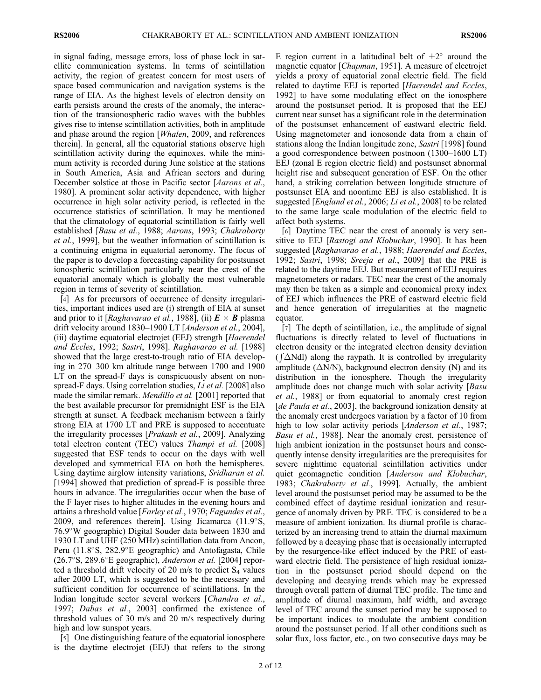in signal fading, message errors, loss of phase lock in satellite communication systems. In terms of scintillation activity, the region of greatest concern for most users of space based communication and navigation systems is the range of EIA. As the highest levels of electron density on earth persists around the crests of the anomaly, the interaction of the transionospheric radio waves with the bubbles gives rise to intense scintillation activities, both in amplitude and phase around the region [Whalen, 2009, and references therein]. In general, all the equatorial stations observe high scintillation activity during the equinoxes, while the minimum activity is recorded during June solstice at the stations in South America, Asia and African sectors and during December solstice at those in Pacific sector [Aarons et al., 1980]. A prominent solar activity dependence, with higher occurrence in high solar activity period, is reflected in the occurrence statistics of scintillation. It may be mentioned that the climatology of equatorial scintillation is fairly well established [Basu et al., 1988; Aarons, 1993; Chakraborty et al., 1999], but the weather information of scintillation is a continuing enigma in equatorial aeronomy. The focus of the paper is to develop a forecasting capability for postsunset ionospheric scintillation particularly near the crest of the equatorial anomaly which is globally the most vulnerable region in terms of severity of scintillation.

[4] As for precursors of occurrence of density irregularities, important indices used are (i) strength of EIA at sunset and prior to it [Raghavarao et al., 1988], (ii)  $E \times B$  plasma drift velocity around 1830–1900 LT [Anderson et al., 2004], (iii) daytime equatorial electrojet (EEJ) strength [Haerendel and Eccles, 1992; Sastri, 1998]. Raghavarao et al. [1988] showed that the large crest-to-trough ratio of EIA developing in 270–300 km altitude range between 1700 and 1900 LT on the spread-F days is conspicuously absent on nonspread-F days. Using correlation studies, *Li et al.* [2008] also made the similar remark. *Mendillo et al.* [2001] reported that the best available precursor for premidnight ESF is the EIA strength at sunset. A feedback mechanism between a fairly strong EIA at 1700 LT and PRE is supposed to accentuate the irregularity processes [Prakash et al., 2009]. Analyzing total electron content (TEC) values Thampi et al. [2008] suggested that ESF tends to occur on the days with well developed and symmetrical EIA on both the hemispheres. Using daytime airglow intensity variations, Sridharan et al. [1994] showed that prediction of spread-F is possible three hours in advance. The irregularities occur when the base of the F layer rises to higher altitudes in the evening hours and attains a threshold value [Farley et al., 1970; Fagundes et al., 2009, and references therein]. Using Jicamarca  $(11.9^{\circ}S,$ 76.9W geographic) Digital Souder data between 1830 and 1930 LT and UHF (250 MHz) scintillation data from Ancon, Peru  $(11.8^{\circ}S, 282.9^{\circ}E)$  geographic) and Antofagasta, Chile  $(26.7°S, 289.6°E$  geographic), *Anderson et al.* [2004] reported a threshold drift velocity of 20 m/s to predict  $S_4$  values after 2000 LT, which is suggested to be the necessary and sufficient condition for occurrence of scintillations. In the Indian longitude sector several workers [Chandra et al., 1997; Dabas et al., 2003] confirmed the existence of threshold values of 30 m/s and 20 m/s respectively during high and low sunspot years.

[5] One distinguishing feature of the equatorial ionosphere is the daytime electrojet (EEJ) that refers to the strong

E region current in a latitudinal belt of  $\pm 2^{\circ}$  around the magnetic equator [*Chapman*, 1951]. A measure of electrojet yields a proxy of equatorial zonal electric field. The field related to daytime EEJ is reported [Haerendel and Eccles, 1992] to have some modulating effect on the ionosphere around the postsunset period. It is proposed that the EEJ current near sunset has a significant role in the determination of the postsunset enhancement of eastward electric field. Using magnetometer and ionosonde data from a chain of stations along the Indian longitude zone, Sastri [1998] found a good correspondence between postnoon (1300–1600 LT) EEJ (zonal E region electric field) and postsunset abnormal height rise and subsequent generation of ESF. On the other hand, a striking correlation between longitude structure of postsunset EIA and noontime EEJ is also established. It is suggested [*England et al.*, 2006; *Li et al.*, 2008] to be related to the same large scale modulation of the electric field to affect both systems.

[6] Daytime TEC near the crest of anomaly is very sensitive to EEJ [*Rastogi and Klobuchar*, 1990]. It has been suggested [Raghavarao et al., 1988; Haerendel and Eccles, 1992; Sastri, 1998; Sreeja et al., 2009] that the PRE is related to the daytime EEJ. But measurement of EEJ requires magnetometers or radars. TEC near the crest of the anomaly may then be taken as a simple and economical proxy index of EEJ which influences the PRE of eastward electric field and hence generation of irregularities at the magnetic equator.

[7] The depth of scintillation, i.e., the amplitude of signal fluctuations is directly related to level of fluctuations in electron density or the integrated electron density deviation  $(\int \Delta N d\mu)$  along the raypath. It is controlled by irregularity amplitude  $(\Delta N/N)$ , background electron density (N) and its distribution in the ionosphere. Though the irregularity amplitude does not change much with solar activity [*Basu* et al., 1988] or from equatorial to anomaly crest region [de Paula et al., 2003], the background ionization density at the anomaly crest undergoes variation by a factor of 10 from high to low solar activity periods [*Anderson et al.*, 1987; Basu et al., 1988]. Near the anomaly crest, persistence of high ambient ionization in the postsunset hours and consequently intense density irregularities are the prerequisites for severe nighttime equatorial scintillation activities under quiet geomagnetic condition [Anderson and Klobuchar, 1983; Chakraborty et al., 1999]. Actually, the ambient level around the postsunset period may be assumed to be the combined effect of daytime residual ionization and resurgence of anomaly driven by PRE. TEC is considered to be a measure of ambient ionization. Its diurnal profile is characterized by an increasing trend to attain the diurnal maximum followed by a decaying phase that is occasionally interrupted by the resurgence-like effect induced by the PRE of eastward electric field. The persistence of high residual ionization in the postsunset period should depend on the developing and decaying trends which may be expressed through overall pattern of diurnal TEC profile. The time and amplitude of diurnal maximum, half width, and average level of TEC around the sunset period may be supposed to be important indices to modulate the ambient condition around the postsunset period. If all other conditions such as solar flux, loss factor, etc., on two consecutive days may be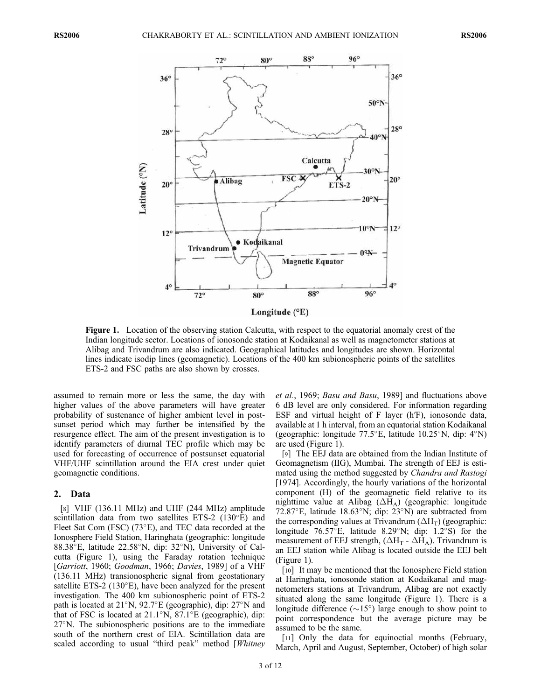

Figure 1. Location of the observing station Calcutta, with respect to the equatorial anomaly crest of the Indian longitude sector. Locations of ionosonde station at Kodaikanal as well as magnetometer stations at Alibag and Trivandrum are also indicated. Geographical latitudes and longitudes are shown. Horizontal lines indicate isodip lines (geomagnetic). Locations of the 400 km subionospheric points of the satellites ETS-2 and FSC paths are also shown by crosses.

assumed to remain more or less the same, the day with higher values of the above parameters will have greater probability of sustenance of higher ambient level in postsunset period which may further be intensified by the resurgence effect. The aim of the present investigation is to identify parameters of diurnal TEC profile which may be used for forecasting of occurrence of postsunset equatorial VHF/UHF scintillation around the EIA crest under quiet geomagnetic conditions.

#### 2. Data

[8] VHF (136.11 MHz) and UHF (244 MHz) amplitude scintillation data from two satellites ETS-2  $(130^{\circ}E)$  and Fleet Sat Com (FSC)  $(73^{\circ}E)$ , and TEC data recorded at the Ionosphere Field Station, Haringhata (geographic: longitude 88.38 $\mathrm{E}$ , latitude 22.58 $\mathrm{N}$ , dip: 32 $\mathrm{N}$ ), University of Calcutta (Figure 1), using the Faraday rotation technique [Garriott, 1960; Goodman, 1966; Davies, 1989] of a VHF (136.11 MHz) transionospheric signal from geostationary satellite ETS-2 (130 $\degree$ E), have been analyzed for the present investigation. The 400 km subionospheric point of ETS-2 path is located at  $21^{\circ}$ N,  $92.7^{\circ}$ E (geographic), dip:  $27^{\circ}$ N and that of FSC is located at  $21.1^{\circ}$ N,  $87.1^{\circ}$ E (geographic), dip:  $27^{\circ}$ N. The subionospheric positions are to the immediate south of the northern crest of EIA. Scintillation data are scaled according to usual "third peak" method [Whitney

et al., 1969; Basu and Basu, 1989] and fluctuations above 6 dB level are only considered. For information regarding ESF and virtual height of F layer (h′F), ionosonde data, available at 1 h interval, from an equatorial station Kodaikanal (geographic: longitude  $77.5^{\circ}$ E, latitude  $10.25^{\circ}$ N, dip:  $4^{\circ}$ N) are used (Figure 1).

[9] The EEJ data are obtained from the Indian Institute of Geomagnetism (IIG), Mumbai. The strength of EEJ is estimated using the method suggested by Chandra and Rastogi [1974]. Accordingly, the hourly variations of the horizontal component (H) of the geomagnetic field relative to its nighttime value at Alibag  $(\Delta H_A)$  (geographic: longitude 72.87 $^{\circ}$ E, latitude 18.63 $^{\circ}$ N; dip: 23 $^{\circ}$ N) are subtracted from the corresponding values at Trivandrum  $(\Delta H_T)$  (geographic: longitude  $76.57^{\circ}$ E, latitude 8.29°N; dip: 1.2°S) for the measurement of EEJ strength,  $(\Delta H_T - \Delta H_A)$ . Trivandrum is an EEJ station while Alibag is located outside the EEJ belt (Figure 1).

[10] It may be mentioned that the Ionosphere Field station at Haringhata, ionosonde station at Kodaikanal and magnetometers stations at Trivandrum, Alibag are not exactly situated along the same longitude (Figure 1). There is a longitude difference  $({\sim}15^{\circ})$  large enough to show point to point correspondence but the average picture may be assumed to be the same.

[11] Only the data for equinoctial months (February, March, April and August, September, October) of high solar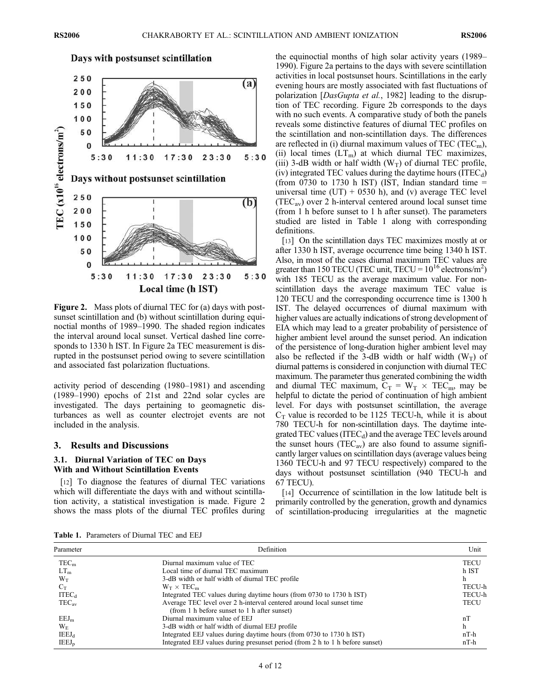

Figure 2. Mass plots of diurnal TEC for (a) days with postsunset scintillation and (b) without scintillation during equinoctial months of 1989–1990. The shaded region indicates the interval around local sunset. Vertical dashed line corresponds to 1330 h IST. In Figure 2a TEC measurement is disrupted in the postsunset period owing to severe scintillation and associated fast polarization fluctuations.

activity period of descending (1980–1981) and ascending (1989–1990) epochs of 21st and 22nd solar cycles are investigated. The days pertaining to geomagnetic disturbances as well as counter electrojet events are not included in the analysis.

#### 3. Results and Discussions

# 3.1. Diurnal Variation of TEC on Days With and Without Scintillation Events

[12] To diagnose the features of diurnal TEC variations which will differentiate the days with and without scintillation activity, a statistical investigation is made. Figure 2 shows the mass plots of the diurnal TEC profiles during the equinoctial months of high solar activity years (1989– 1990). Figure 2a pertains to the days with severe scintillation activities in local postsunset hours. Scintillations in the early evening hours are mostly associated with fast fluctuations of polarization [DasGupta et al., 1982] leading to the disruption of TEC recording. Figure 2b corresponds to the days with no such events. A comparative study of both the panels reveals some distinctive features of diurnal TEC profiles on the scintillation and non-scintillation days. The differences are reflected in (i) diurnal maximum values of TEC (TEC<sub>m</sub>), (ii) local times  $(LT_m)$  at which diurnal TEC maximizes, (iii) 3-dB width or half width  $(W_T)$  of diurnal TEC profile, (iv) integrated TEC values during the daytime hours  $(ITEC<sub>d</sub>)$ (from 0730 to 1730 h IST) (IST, Indian standard time  $=$ universal time  $(UT) + 0530$  h), and (v) average TEC level  $(TEC<sub>av</sub>)$  over 2 h-interval centered around local sunset time (from 1 h before sunset to 1 h after sunset). The parameters studied are listed in Table 1 along with corresponding definitions.

[13] On the scintillation days TEC maximizes mostly at or after 1330 h IST, average occurrence time being 1340 h IST. Also, in most of the cases diurnal maximum TEC values are greater than 150 TECU (TEC unit, TECU =  $10^{16}$  electrons/m<sup>2</sup>) with 185 TECU as the average maximum value. For nonscintillation days the average maximum TEC value is 120 TECU and the corresponding occurrence time is 1300 h IST. The delayed occurrences of diurnal maximum with higher values are actually indications of strong development of EIA which may lead to a greater probability of persistence of higher ambient level around the sunset period. An indication of the persistence of long-duration higher ambient level may also be reflected if the 3-dB width or half width  $(W_T)$  of diurnal patterns is considered in conjunction with diurnal TEC maximum. The parameter thus generated combining the width and diurnal TEC maximum,  $C_T = W_T \times TEC_m$ , may be helpful to dictate the period of continuation of high ambient level. For days with postsunset scintillation, the average  $C_T$  value is recorded to be 1125 TECU-h, while it is about 780 TECU-h for non-scintillation days. The daytime integrated TEC values (ITEC $_d$ ) and the average TEC levels around the sunset hours (TEC<sub>av</sub>) are also found to assume significantly larger values on scintillation days (average values being 1360 TECU-h and 97 TECU respectively) compared to the days without postsunset scintillation (940 TECU-h and 67 TECU).

[14] Occurrence of scintillation in the low latitude belt is primarily controlled by the generation, growth and dynamics of scintillation-producing irregularities at the magnetic

Table 1. Parameters of Diurnal TEC and EEJ

| Parameter         | Definition                                                                                                            |             |  |  |
|-------------------|-----------------------------------------------------------------------------------------------------------------------|-------------|--|--|
| $TEC_m$           | Diurnal maximum value of TEC                                                                                          | <b>TECU</b> |  |  |
| $LT_m$            | Local time of diurnal TEC maximum                                                                                     | h IST       |  |  |
| $W_T$             | 3-dB width or half width of diurnal TEC profile                                                                       | h           |  |  |
| $C_T$             | $W_T \times TEC_m$                                                                                                    | TECU-h      |  |  |
| ITEC <sub>d</sub> | Integrated TEC values during daytime hours (from 0730 to 1730 h IST)                                                  | TECU-h      |  |  |
| $TEC_{av}$        | Average TEC level over 2 h-interval centered around local sunset time<br>(from 1 h before sunset to 1 h after sunset) | <b>TECU</b> |  |  |
| EEJ <sub>m</sub>  | Diurnal maximum value of EEJ                                                                                          | nl          |  |  |
| $W_{\rm E}$       | 3-dB width or half width of diurnal EEJ profile                                                                       |             |  |  |
| $IEEJ_d$          | Integrated EEJ values during daytime hours (from 0730 to 1730 h IST)                                                  | $nT-h$      |  |  |
| $IEEJ_p$          | Integrated EEJ values during presunset period (from 2 h to 1 h before sunset)                                         | $nT-h$      |  |  |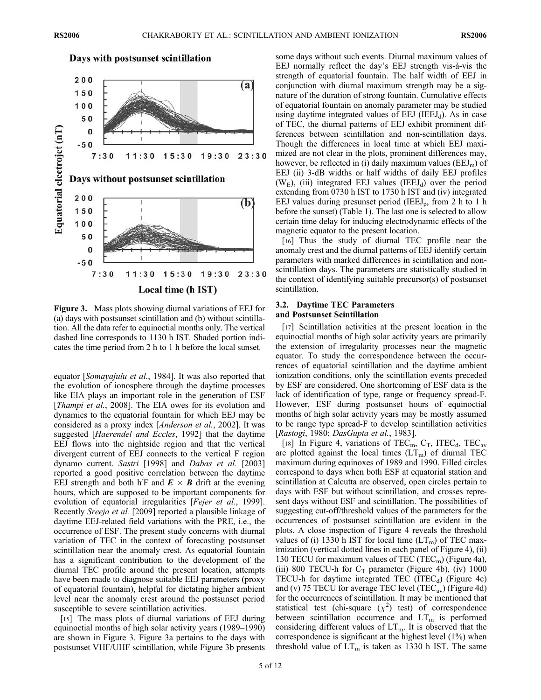Days with postsunset scintillation



Figure 3. Mass plots showing diurnal variations of EEJ for (a) days with postsunset scintillation and (b) without scintillation. All the data refer to equinoctial months only. The vertical dashed line corresponds to 1130 h IST. Shaded portion indicates the time period from 2 h to 1 h before the local sunset.

equator [Somayajulu et al., 1984]. It was also reported that the evolution of ionosphere through the daytime processes like EIA plays an important role in the generation of ESF [*Thampi et al.*, 2008]. The EIA owes for its evolution and dynamics to the equatorial fountain for which EEJ may be considered as a proxy index [Anderson et al., 2002]. It was suggested [Haerendel and Eccles, 1992] that the daytime EEJ flows into the nightside region and that the vertical divergent current of EEJ connects to the vertical F region dynamo current. Sastri [1998] and Dabas et al. [2003] reported a good positive correlation between the daytime EEJ strength and both h'F and  $E \times B$  drift at the evening hours, which are supposed to be important components for evolution of equatorial irregularities [*Fejer et al.*, 1999]. Recently Sreeja et al. [2009] reported a plausible linkage of daytime EEJ-related field variations with the PRE, i.e., the occurrence of ESF. The present study concerns with diurnal variation of TEC in the context of forecasting postsunset scintillation near the anomaly crest. As equatorial fountain has a significant contribution to the development of the diurnal TEC profile around the present location, attempts have been made to diagnose suitable EEJ parameters (proxy of equatorial fountain), helpful for dictating higher ambient level near the anomaly crest around the postsunset period susceptible to severe scintillation activities.

[15] The mass plots of diurnal variations of EEJ during equinoctial months of high solar activity years (1989–1990) are shown in Figure 3. Figure 3a pertains to the days with postsunset VHF/UHF scintillation, while Figure 3b presents some days without such events. Diurnal maximum values of EEJ normally reflect the day's EEJ strength vis-à-vis the strength of equatorial fountain. The half width of EEJ in conjunction with diurnal maximum strength may be a signature of the duration of strong fountain. Cumulative effects of equatorial fountain on anomaly parameter may be studied using daytime integrated values of  $EEJ$  (IEEJ<sub>d</sub>). As in case of TEC, the diurnal patterns of EEJ exhibit prominent differences between scintillation and non-scintillation days. Though the differences in local time at which EEJ maximized are not clear in the plots, prominent differences may, however, be reflected in (i) daily maximum values ( $EEM<sub>m</sub>$ ) of EEJ (ii) 3-dB widths or half widths of daily EEJ profiles ( $W<sub>E</sub>$ ), (iii) integrated EEJ values (IEEJ<sub>d</sub>) over the period extending from 0730 h IST to 1730 h IST and (iv) integrated EEJ values during presunset period (IEEJ<sub>p</sub>, from 2 h to 1 h before the sunset) (Table 1). The last one is selected to allow certain time delay for inducing electrodynamic effects of the magnetic equator to the present location.

[16] Thus the study of diurnal TEC profile near the anomaly crest and the diurnal patterns of EEJ identify certain parameters with marked differences in scintillation and nonscintillation days. The parameters are statistically studied in the context of identifying suitable precursor(s) of postsunset scintillation.

# 3.2. Daytime TEC Parameters and Postsunset Scintillation

[17] Scintillation activities at the present location in the equinoctial months of high solar activity years are primarily the extension of irregularity processes near the magnetic equator. To study the correspondence between the occurrences of equatorial scintillation and the daytime ambient ionization conditions, only the scintillation events preceded by ESF are considered. One shortcoming of ESF data is the lack of identification of type, range or frequency spread-F. However, ESF during postsunset hours of equinoctial months of high solar activity years may be mostly assumed to be range type spread-F to develop scintillation activities [Rastogi, 1980; DasGupta et al., 1983].

[18] In Figure 4, variations of TEC<sub>m</sub>, C<sub>T</sub>, ITEC<sub>d</sub>, TEC<sub>av</sub> are plotted against the local times  $(LT_m)$  of diurnal TEC maximum during equinoxes of 1989 and 1990. Filled circles correspond to days when both ESF at equatorial station and scintillation at Calcutta are observed, open circles pertain to days with ESF but without scintillation, and crosses represent days without ESF and scintillation. The possibilities of suggesting cut-off/threshold values of the parameters for the occurrences of postsunset scintillation are evident in the plots. A close inspection of Figure 4 reveals the threshold values of (i) 1330 h IST for local time  $(LT_m)$  of TEC maximization (vertical dotted lines in each panel of Figure 4), (ii) 130 TECU for maximum values of TEC (TEC<sub>m</sub>) (Figure 4a), (iii) 800 TECU-h for  $C_T$  parameter (Figure 4b), (iv) 1000 TECU-h for daytime integrated TEC (ITEC $_d$ ) (Figure 4c) and (v) 75 TECU for average TEC level (TEC<sub>av</sub>) (Figure 4d) for the occurrences of scintillation. It may be mentioned that statistical test (chi-square  $(\chi^2)$  test) of correspondence between scintillation occurrence and  $LT<sub>m</sub>$  is performed considering different values of  $LT_m$ . It is observed that the correspondence is significant at the highest level (1%) when threshold value of  $LT_m$  is taken as 1330 h IST. The same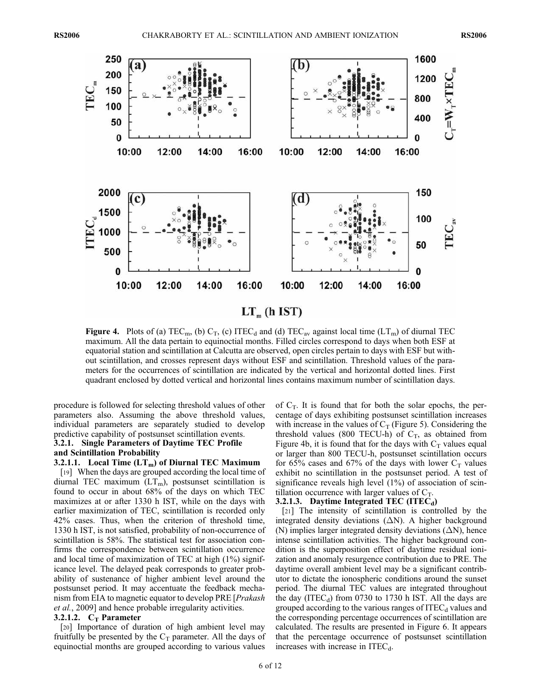

Figure 4. Plots of (a) TEC<sub>m</sub>, (b)  $C_T$ , (c) ITEC<sub>d</sub> and (d) TEC<sub>av</sub> against local time (LT<sub>m</sub>) of diurnal TEC maximum. All the data pertain to equinoctial months. Filled circles correspond to days when both ESF at equatorial station and scintillation at Calcutta are observed, open circles pertain to days with ESF but without scintillation, and crosses represent days without ESF and scintillation. Threshold values of the parameters for the occurrences of scintillation are indicated by the vertical and horizontal dotted lines. First quadrant enclosed by dotted vertical and horizontal lines contains maximum number of scintillation days.

procedure is followed for selecting threshold values of other parameters also. Assuming the above threshold values, individual parameters are separately studied to develop predictive capability of postsunset scintillation events.

# 3.2.1. Single Parameters of Daytime TEC Profile and Scintillation Probability

#### 3.2.1.1. Local Time  $(LT_m)$  of Diurnal TEC Maximum

[19] When the days are grouped according the local time of diurnal TEC maximum  $(LT_m)$ , postsunset scintillation is found to occur in about 68% of the days on which TEC maximizes at or after 1330 h IST, while on the days with earlier maximization of TEC, scintillation is recorded only 42% cases. Thus, when the criterion of threshold time, 1330 h IST, is not satisfied, probability of non-occurrence of scintillation is 58%. The statistical test for association confirms the correspondence between scintillation occurrence and local time of maximization of TEC at high (1%) significance level. The delayed peak corresponds to greater probability of sustenance of higher ambient level around the postsunset period. It may accentuate the feedback mechanism from EIA to magnetic equator to develop PRE [*Prakash* et al., 2009] and hence probable irregularity activities.

### 3.2.1.2.  $C_T$  Parameter

[20] Importance of duration of high ambient level may fruitfully be presented by the  $C_T$  parameter. All the days of equinoctial months are grouped according to various values

of  $C_T$ . It is found that for both the solar epochs, the percentage of days exhibiting postsunset scintillation increases with increase in the values of  $C_T$  (Figure 5). Considering the threshold values (800 TECU-h) of  $C_T$ , as obtained from Figure 4b, it is found that for the days with  $C_T$  values equal or larger than 800 TECU-h, postsunset scintillation occurs for 65% cases and 67% of the days with lower  $C_T$  values exhibit no scintillation in the postsunset period. A test of significance reveals high level  $(1\%)$  of association of scintillation occurrence with larger values of  $C_T$ .

#### 3.2.1.3. Daytime Integrated TEC  $(ITEC<sub>d</sub>)$

[21] The intensity of scintillation is controlled by the integrated density deviations  $( \Delta N)$ . A higher background (N) implies larger integrated density deviations  $(\Delta N)$ , hence intense scintillation activities. The higher background condition is the superposition effect of daytime residual ionization and anomaly resurgence contribution due to PRE. The daytime overall ambient level may be a significant contributor to dictate the ionospheric conditions around the sunset period. The diurnal TEC values are integrated throughout the day  $(ITEC_d)$  from 0730 to 1730 h IST. All the days are grouped according to the various ranges of  $ITEC<sub>d</sub>$  values and the corresponding percentage occurrences of scintillation are calculated. The results are presented in Figure 6. It appears that the percentage occurrence of postsunset scintillation increases with increase in  $ITEC<sub>d</sub>$ .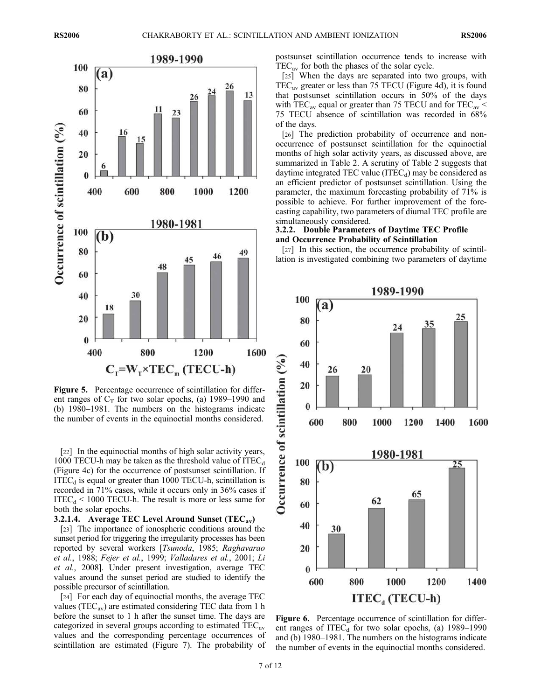

Figure 5. Percentage occurrence of scintillation for different ranges of  $C_T$  for two solar epochs, (a) 1989–1990 and (b) 1980–1981. The numbers on the histograms indicate the number of events in the equinoctial months considered.

[22] In the equinoctial months of high solar activity years, 1000 TECU-h may be taken as the threshold value of  $ITEC<sub>d</sub>$ (Figure 4c) for the occurrence of postsunset scintillation. If  $ITEC<sub>d</sub>$  is equal or greater than 1000 TECU-h, scintillation is recorded in 71% cases, while it occurs only in 36% cases if  $ITEC<sub>d</sub> < 1000$  TECU-h. The result is more or less same for both the solar epochs.

3.2.1.4. Average TEC Level Around Sunset  $(TEC_{av})$ 

[23] The importance of ionospheric conditions around the sunset period for triggering the irregularity processes has been reported by several workers [Tsunoda, 1985; Raghavarao et al., 1988; Fejer et al., 1999; Valladares et al., 2001; Li et al., 2008]. Under present investigation, average TEC values around the sunset period are studied to identify the possible precursor of scintillation.

[24] For each day of equinoctial months, the average TEC values (TEC<sub>av</sub>) are estimated considering TEC data from 1 h before the sunset to 1 h after the sunset time. The days are categorized in several groups according to estimated  $TEC_{av}$ values and the corresponding percentage occurrences of scintillation are estimated (Figure 7). The probability of postsunset scintillation occurrence tends to increase with  $TEC_{av}$  for both the phases of the solar cycle.

[25] When the days are separated into two groups, with TECav greater or less than 75 TECU (Figure 4d), it is found that postsunset scintillation occurs in 50% of the days with TEC<sub>av</sub> equal or greater than 75 TECU and for TEC<sub>av</sub>  $\leq$ 75 TECU absence of scintillation was recorded in 68% of the days.

[26] The prediction probability of occurrence and nonoccurrence of postsunset scintillation for the equinoctial months of high solar activity years, as discussed above, are summarized in Table 2. A scrutiny of Table 2 suggests that daytime integrated TEC value  $(ITEC<sub>d</sub>)$  may be considered as an efficient predictor of postsunset scintillation. Using the parameter, the maximum forecasting probability of 71% is possible to achieve. For further improvement of the forecasting capability, two parameters of diurnal TEC profile are simultaneously considered.

# 3.2.2. Double Parameters of Daytime TEC Profile and Occurrence Probability of Scintillation

[27] In this section, the occurrence probability of scintillation is investigated combining two parameters of daytime



Figure 6. Percentage occurrence of scintillation for different ranges of ITEC<sub>d</sub> for two solar epochs, (a)  $1989-1990$ and (b) 1980–1981. The numbers on the histograms indicate the number of events in the equinoctial months considered.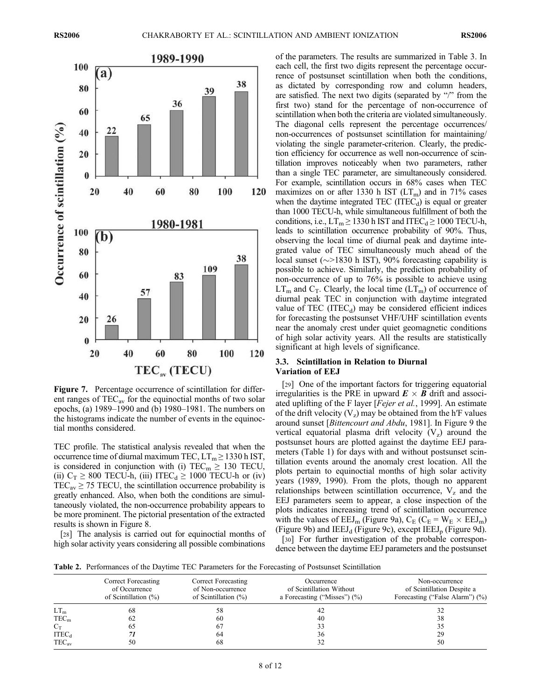

Figure 7. Percentage occurrence of scintillation for different ranges of  $TEC_{av}$  for the equinoctial months of two solar epochs, (a) 1989–1990 and (b) 1980–1981. The numbers on the histograms indicate the number of events in the equinoctial months considered.

TEC profile. The statistical analysis revealed that when the occurrence time of diurnal maximum TEC,  $LT_m \ge 1330$  h IST, is considered in conjunction with (i) TEC<sub>m</sub>  $\geq$  130 TECU, (ii)  $C_T \geq 800$  TECU-h, (iii) ITEC<sub>d</sub>  $\geq 1000$  TECU-h or (iv)  $TEC_{av} \ge 75$  TECU, the scintillation occurrence probability is greatly enhanced. Also, when both the conditions are simultaneously violated, the non-occurrence probability appears to be more prominent. The pictorial presentation of the extracted results is shown in Figure 8.

[28] The analysis is carried out for equinoctial months of high solar activity years considering all possible combinations

of the parameters. The results are summarized in Table 3. In each cell, the first two digits represent the percentage occurrence of postsunset scintillation when both the conditions, as dictated by corresponding row and column headers, are satisfied. The next two digits (separated by "/" from the first two) stand for the percentage of non-occurrence of scintillation when both the criteria are violated simultaneously. The diagonal cells represent the percentage occurrences/ non-occurrences of postsunset scintillation for maintaining/ violating the single parameter-criterion. Clearly, the prediction efficiency for occurrence as well non-occurrence of scintillation improves noticeably when two parameters, rather than a single TEC parameter, are simultaneously considered. For example, scintillation occurs in 68% cases when TEC maximizes on or after 1330 h IST  $(LT_m)$  and in 71% cases when the daytime integrated  $TEC$  (ITEC $_d$ ) is equal or greater than 1000 TECU-h, while simultaneous fulfillment of both the conditions, i.e.,  $LT_m \ge 1330$  h IST and ITEC<sub>d</sub>  $\ge 1000$  TECU-h, leads to scintillation occurrence probability of 90%. Thus, observing the local time of diurnal peak and daytime integrated value of TEC simultaneously much ahead of the local sunset ( $\sim$ >1830 h IST), 90% forecasting capability is possible to achieve. Similarly, the prediction probability of non-occurrence of up to 76% is possible to achieve using  $LT_m$  and  $C_T$ . Clearly, the local time  $(LT_m)$  of occurrence of diurnal peak TEC in conjunction with daytime integrated value of TEC (ITEC $_d$ ) may be considered efficient indices for forecasting the postsunset VHF/UHF scintillation events near the anomaly crest under quiet geomagnetic conditions of high solar activity years. All the results are statistically significant at high levels of significance.

### 3.3. Scintillation in Relation to Diurnal Variation of EEJ

[29] One of the important factors for triggering equatorial irregularities is the PRE in upward  $E \times B$  drift and associated uplifting of the F layer [Fejer et al., 1999]. An estimate of the drift velocity  $(V_z)$  may be obtained from the h<sup>'</sup>F values around sunset [Bittencourt and Abdu, 1981]. In Figure 9 the vertical equatorial plasma drift velocity  $(V_z)$  around the postsunset hours are plotted against the daytime EEJ parameters (Table 1) for days with and without postsunset scintillation events around the anomaly crest location. All the plots pertain to equinoctial months of high solar activity years (1989, 1990). From the plots, though no apparent relationships between scintillation occurrence,  $V<sub>z</sub>$  and the EEJ parameters seem to appear, a close inspection of the plots indicates increasing trend of scintillation occurrence with the values of  $EEJ_m$  (Figure 9a),  $C_E$  ( $C_E = W_E \times EEJ_m$ ) (Figure 9b) and IEEJ<sub>d</sub> (Figure 9c), except IEEJ<sub>p</sub> (Figure 9d).

[30] For further investigation of the probable correspondence between the daytime EEJ parameters and the postsunset

Table 2. Performances of the Daytime TEC Parameters for the Forecasting of Postsunset Scintillation

|                   | Correct Forecasting<br>of Occurrence<br>of Scintillation $(\%)$ | Correct Forecasting<br>of Non-occurrence<br>of Scintillation $(\%)$ | Occurrence<br>of Scintillation Without<br>a Forecasting ("Misses") $(\%$ ) | Non-occurrence<br>of Scintillation Despite a<br>Forecasting ("False Alarm") (%) |
|-------------------|-----------------------------------------------------------------|---------------------------------------------------------------------|----------------------------------------------------------------------------|---------------------------------------------------------------------------------|
| $LT_m$            | 68                                                              | 58                                                                  | 42                                                                         |                                                                                 |
| $TEC_m$           | 62                                                              | 60                                                                  | 40                                                                         | 38                                                                              |
| $C_T$             | 65                                                              | 67                                                                  | 33                                                                         |                                                                                 |
| ITEC <sub>d</sub> |                                                                 | 64                                                                  | 36                                                                         | 29                                                                              |
| $TEC_{av}$        | 50                                                              | 68                                                                  | 32                                                                         | 50                                                                              |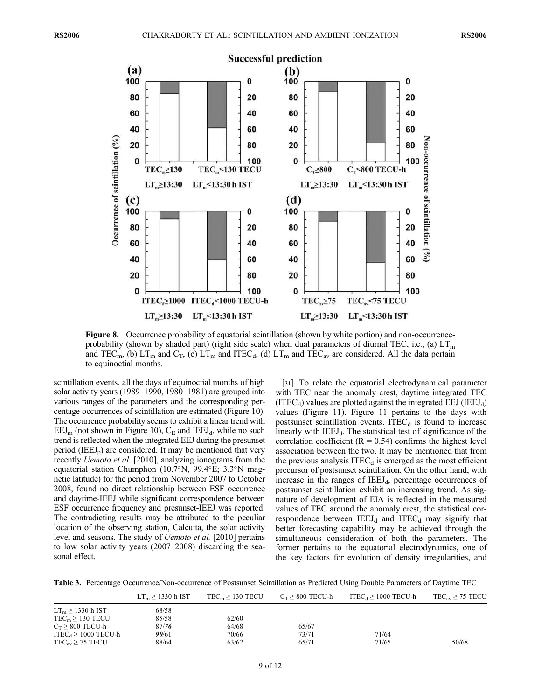

Figure 8. Occurrence probability of equatorial scintillation (shown by white portion) and non-occurrenceprobability (shown by shaded part) (right side scale) when dual parameters of diurnal TEC, i.e., (a)  $LT_m$ and TEC<sub>m</sub>, (b)  $LT_m$  and  $C_T$ , (c)  $LT_m$  and ITEC<sub>d</sub>, (d)  $LT_m$  and TEC<sub>av</sub> are considered. All the data pertain to equinoctial months.

scintillation events, all the days of equinoctial months of high solar activity years (1989–1990, 1980–1981) are grouped into various ranges of the parameters and the corresponding percentage occurrences of scintillation are estimated (Figure 10). The occurrence probability seems to exhibit a linear trend with  $EEJ<sub>m</sub>$  (not shown in Figure 10),  $C<sub>E</sub>$  and IEEJ<sub>d</sub>, while no such trend is reflected when the integrated EEJ during the presunset period (IEEJ<sub>p</sub>) are considered. It may be mentioned that very recently Uemoto et al. [2010], analyzing ionograms from the equatorial station Chumphon (10.7°N, 99.4°E; 3.3°N magnetic latitude) for the period from November 2007 to October 2008, found no direct relationship between ESF occurrence and daytime-IEEJ while significant correspondence between ESF occurrence frequency and presunset-IEEJ was reported. The contradicting results may be attributed to the peculiar location of the observing station, Calcutta, the solar activity level and seasons. The study of Uemoto et al. [2010] pertains to low solar activity years (2007–2008) discarding the seasonal effect.

[31] To relate the equatorial electrodynamical parameter with TEC near the anomaly crest, daytime integrated TEC  $(ITEC<sub>d</sub>)$  values are plotted against the integrated EEJ (IEEJ<sub>d</sub>) values (Figure 11). Figure 11 pertains to the days with postsunset scintillation events. ITEC $_d$  is found to increase linearly with  $IEEJ_d$ . The statistical test of significance of the correlation coefficient ( $R = 0.54$ ) confirms the highest level association between the two. It may be mentioned that from the previous analysis  $ITEC<sub>d</sub>$  is emerged as the most efficient precursor of postsunset scintillation. On the other hand, with increase in the ranges of  $IEEJ<sub>d</sub>$ , percentage occurrences of postsunset scintillation exhibit an increasing trend. As signature of development of EIA is reflected in the measured values of TEC around the anomaly crest, the statistical correspondence between  $IEEJ_d$  and  $ITEC_d$  may signify that better forecasting capability may be achieved through the simultaneous consideration of both the parameters. The former pertains to the equatorial electrodynamics, one of the key factors for evolution of density irregularities, and

Table 3. Percentage Occurrence/Non-occurrence of Postsunset Scintillation as Predicted Using Double Parameters of Daytime TEC

|                                      | $LT_m \geq 1330$ h IST | $TEC_m \ge 130$ TECU | $C_T \geq 800$ TECU-h | ITEC <sub>d</sub> $\geq$ 1000 TECU-h | $TEC_{av} \geq 75$ TECU |
|--------------------------------------|------------------------|----------------------|-----------------------|--------------------------------------|-------------------------|
| $LT_m \geq 1330$ h IST               | 68/58                  |                      |                       |                                      |                         |
| $TEC_m \geq 130$ TECU                | 85/58                  | 62/60                |                       |                                      |                         |
| $C_T \geq 800$ TECU-h                | 87/76                  | 64/68                | 65/67                 |                                      |                         |
| ITEC <sub>d</sub> $\geq$ 1000 TECU-h | 90/61                  | 70/66                | 73/71                 | 71/64                                |                         |
| $TEC_{av} \geq 75$ TECU              | 88/64                  | 63/62                | 65/71                 | 71/65                                | 50/68                   |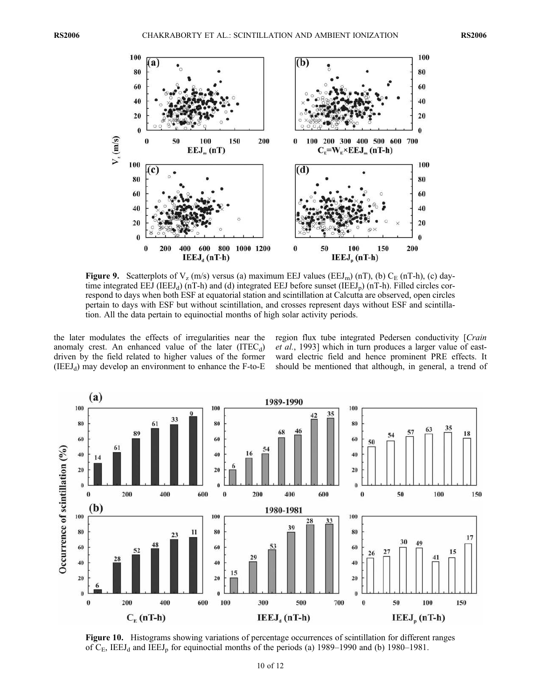

**Figure 9.** Scatterplots of  $V_z$  (m/s) versus (a) maximum EEJ values (EEJ<sub>m</sub>) (nT), (b)  $C_E$  (nT-h), (c) daytime integrated EEJ (IEEJ<sub>d</sub>) (nT-h) and (d) integrated EEJ before sunset (IEEJ<sub>p</sub>) (nT-h). Filled circles correspond to days when both ESF at equatorial station and scintillation at Calcutta are observed, open circles pertain to days with ESF but without scintillation, and crosses represent days without ESF and scintillation. All the data pertain to equinoctial months of high solar activity periods.

the later modulates the effects of irregularities near the anomaly crest. An enhanced value of the later  $(ITEC_d)$ driven by the field related to higher values of the former  $(IEEJ<sub>d</sub>)$  may develop an environment to enhance the F-to-E

region flux tube integrated Pedersen conductivity [Crain et al., 1993] which in turn produces a larger value of eastward electric field and hence prominent PRE effects. It should be mentioned that although, in general, a trend of



Figure 10. Histograms showing variations of percentage occurrences of scintillation for different ranges of  $C_E$ , IEEJ<sub>d</sub> and IEEJ<sub>p</sub> for equinoctial months of the periods (a) 1989–1990 and (b) 1980–1981.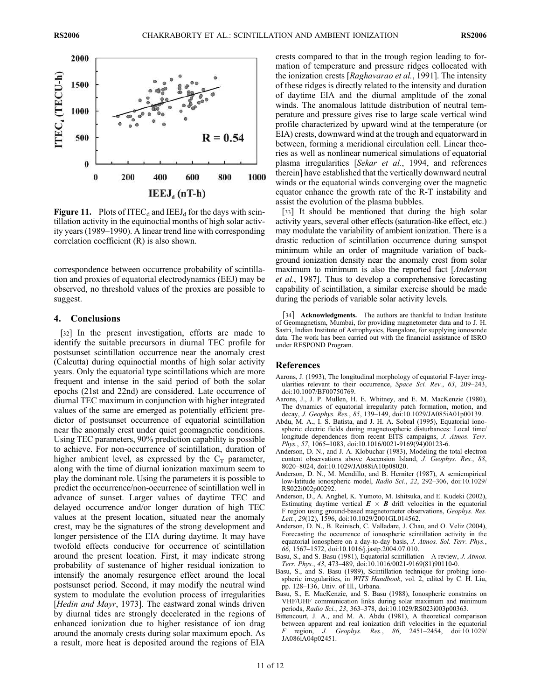

**Figure 11.** Plots of ITEC<sub>d</sub> and IEEJ<sub>d</sub> for the days with scintillation activity in the equinoctial months of high solar activity years (1989–1990). A linear trend line with corresponding correlation coefficient (R) is also shown.

correspondence between occurrence probability of scintillation and proxies of equatorial electrodynamics (EEJ) may be observed, no threshold values of the proxies are possible to suggest.

### 4. Conclusions

[32] In the present investigation, efforts are made to identify the suitable precursors in diurnal TEC profile for postsunset scintillation occurrence near the anomaly crest (Calcutta) during equinoctial months of high solar activity years. Only the equatorial type scintillations which are more frequent and intense in the said period of both the solar epochs (21st and 22nd) are considered. Late occurrence of diurnal TEC maximum in conjunction with higher integrated values of the same are emerged as potentially efficient predictor of postsunset occurrence of equatorial scintillation near the anomaly crest under quiet geomagnetic conditions. Using TEC parameters, 90% prediction capability is possible to achieve. For non-occurrence of scintillation, duration of higher ambient level, as expressed by the  $C_T$  parameter, along with the time of diurnal ionization maximum seem to play the dominant role. Using the parameters it is possible to predict the occurrence/non-occurrence of scintillation well in advance of sunset. Larger values of daytime TEC and delayed occurrence and/or longer duration of high TEC values at the present location, situated near the anomaly crest, may be the signatures of the strong development and longer persistence of the EIA during daytime. It may have twofold effects conducive for occurrence of scintillation around the present location. First, it may indicate strong probability of sustenance of higher residual ionization to intensify the anomaly resurgence effect around the local postsunset period. Second, it may modify the neutral wind system to modulate the evolution process of irregularities [*Hedin and Mayr*, 1973]. The eastward zonal winds driven by diurnal tides are strongly decelerated in the regions of enhanced ionization due to higher resistance of ion drag around the anomaly crests during solar maximum epoch. As a result, more heat is deposited around the regions of EIA

crests compared to that in the trough region leading to formation of temperature and pressure ridges collocated with the ionization crests [Raghavarao et al., 1991]. The intensity of these ridges is directly related to the intensity and duration of daytime EIA and the diurnal amplitude of the zonal winds. The anomalous latitude distribution of neutral temperature and pressure gives rise to large scale vertical wind profile characterized by upward wind at the temperature (or EIA) crests, downward wind at the trough and equatorward in between, forming a meridional circulation cell. Linear theories as well as nonlinear numerical simulations of equatorial plasma irregularities [Sekar et al., 1994, and references therein] have established that the vertically downward neutral winds or the equatorial winds converging over the magnetic equator enhance the growth rate of the R-T instability and assist the evolution of the plasma bubbles.

[33] It should be mentioned that during the high solar activity years, several other effects (saturation-like effect, etc.) may modulate the variability of ambient ionization. There is a drastic reduction of scintillation occurrence during sunspot minimum while an order of magnitude variation of background ionization density near the anomaly crest from solar maximum to minimum is also the reported fact [*Anderson* et al., 1987]. Thus to develop a comprehensive forecasting capability of scintillation, a similar exercise should be made during the periods of variable solar activity levels.

[34] **Acknowledgments.** The authors are thankful to Indian Institute of Geomagnetism, Mumbai, for providing magnetometer data and to J. H. Sastri, Indian Institute of Astrophysics, Bangalore, for supplying ionosonde data. The work has been carried out with the financial assistance of ISRO under RESPOND Program.

#### References

- Aarons, J. (1993), The longitudinal morphology of equatorial F-layer irregularities relevant to their occurrence, Space Sci. Rev., 63, 209-243, doi:10.1007/BF00750769.
- Aarons, J., J. P. Mullen, H. E. Whitney, and E. M. MacKenzie (1980), The dynamics of equatorial irregularity patch formation, motion, and decay, J. Geophys. Res., 85, 139–149, doi:10.1029/JA085iA01p00139.
- Abdu, M. A., I. S. Batista, and J. H. A. Sobral (1995), Equatorial ionospheric electric fields during magnetospheric disturbances: Local time/ longitude dependences from recent EITS campaigns, *J. Atmos. Terr.* Phys., 57, 1065-1083, doi:10.1016/0021-9169(94)00123-6.
- Anderson, D. N., and J. A. Klobuchar (1983), Modeling the total electron content observations above Ascension Island, J. Geophys. Res., 88, 8020–8024, doi:10.1029/JA088iA10p08020.
- Anderson, D. N., M. Mendillo, and B. Herniter (1987), A semiempirical low-latitude ionospheric model, Radio Sci., 22, 292–306, doi:10.1029/ RS022i002p00292.
- Anderson, D., A. Anghel, K. Yumoto, M. Ishitsuka, and E. Kudeki (2002), Estimating daytime vertical  $E \times B$  drift velocities in the equatorial F region using ground-based magnetometer observations, Geophys. Res. Lett., 29(12), 1596, doi:10.1029/2001GL014562.
- Anderson, D. N., B. Reinisch, C. Valladare, J. Chau, and O. Veliz (2004), Forecasting the occurrence of ionospheric scintillation activity in the equatorial ionosphere on a day-to-day basis, J. Atmos. Sol. Terr. Phys., 66, 1567–1572, doi:10.1016/j.jastp.2004.07.010.
- Basu, S., and S. Basu (1981), Equatorial scintillation—A review, J. Atmos. Terr. Phys., 43, 473–489, doi:10.1016/0021-9169(81)90110-0.
- Basu, S., and S. Basu (1989), Scintillation technique for probing ionospheric irregularities, in WITS Handbook, vol. 2, edited by C. H. Liu, pp. 128–136, Univ. of Ill., Urbana.
- Basu, S., E. MacKenzie, and S. Basu (1988), Ionospheric constrains on VHF/UHF communication links during solar maximum and minimum periods, Radio Sci., 23, 363–378, doi:10.1029/RS023i003p00363.
- Bittencourt, J. A., and M. A. Abdu (1981), A theoretical comparison between apparent and real ionization drift velocities in the equatorial region, *J. Geophys. Res.*, 86, 2451-2454, doi:10.1029/ JA086iA04p02451.